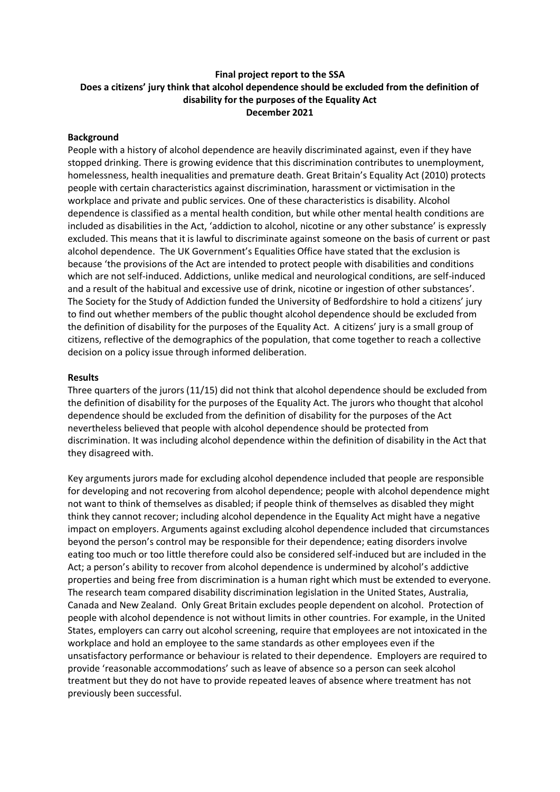# **Final project report to the SSA Does a citizens' jury think that alcohol dependence should be excluded from the definition of disability for the purposes of the Equality Act December 2021**

## **Background**

People with a history of alcohol dependence are heavily discriminated against, even if they have stopped drinking. There is growing evidence that this discrimination contributes to unemployment, homelessness, health inequalities and premature death. Great Britain's Equality Act (2010) protects people with certain characteristics against discrimination, harassment or victimisation in the workplace and private and public services. One of these characteristics is disability. Alcohol dependence is classified as a mental health condition, but while other mental health conditions are included as disabilities in the Act, 'addiction to alcohol, nicotine or any other substance' is expressly excluded. This means that it is lawful to discriminate against someone on the basis of current or past alcohol dependence. The UK Government's Equalities Office have stated that the exclusion is because 'the provisions of the Act are intended to protect people with disabilities and conditions which are not self-induced. Addictions, unlike medical and neurological conditions, are self-induced and a result of the habitual and excessive use of drink, nicotine or ingestion of other substances'. The Society for the Study of Addiction funded the University of Bedfordshire to hold a citizens' jury to find out whether members of the public thought alcohol dependence should be excluded from the definition of disability for the purposes of the Equality Act. A citizens' jury is a small group of citizens, reflective of the demographics of the population, that come together to reach a collective decision on a policy issue through informed deliberation.

### **Results**

Three quarters of the jurors (11/15) did not think that alcohol dependence should be excluded from the definition of disability for the purposes of the Equality Act. The jurors who thought that alcohol dependence should be excluded from the definition of disability for the purposes of the Act nevertheless believed that people with alcohol dependence should be protected from discrimination. It was including alcohol dependence within the definition of disability in the Act that they disagreed with.

Key arguments jurors made for excluding alcohol dependence included that people are responsible for developing and not recovering from alcohol dependence; people with alcohol dependence might not want to think of themselves as disabled; if people think of themselves as disabled they might think they cannot recover; including alcohol dependence in the Equality Act might have a negative impact on employers. Arguments against excluding alcohol dependence included that circumstances beyond the person's control may be responsible for their dependence; eating disorders involve eating too much or too little therefore could also be considered self-induced but are included in the Act; a person's ability to recover from alcohol dependence is undermined by alcohol's addictive properties and being free from discrimination is a human right which must be extended to everyone. The research team compared disability discrimination legislation in the United States, Australia, Canada and New Zealand. Only Great Britain excludes people dependent on alcohol. Protection of people with alcohol dependence is not without limits in other countries. For example, in the United States, employers can carry out alcohol screening, require that employees are not intoxicated in the workplace and hold an employee to the same standards as other employees even if the unsatisfactory performance or behaviour is related to their dependence. Employers are required to provide 'reasonable accommodations' such as leave of absence so a person can seek alcohol treatment but they do not have to provide repeated leaves of absence where treatment has not previously been successful.